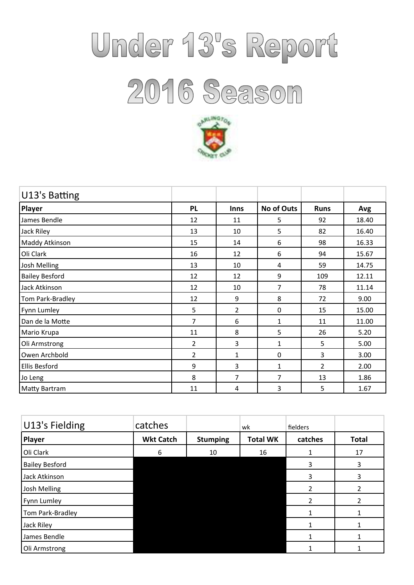## Under 13's Report 2016 Season



| U13's Batting         |                |              |              |                |       |
|-----------------------|----------------|--------------|--------------|----------------|-------|
| Player                | <b>PL</b>      | <b>Inns</b>  | No of Outs   | <b>Runs</b>    | Avg   |
| James Bendle          | 12             | 11           | 5            | 92             | 18.40 |
| Jack Riley            | 13             | 10           | 5            | 82             | 16.40 |
| Maddy Atkinson        | 15             | 14           | 6            | 98             | 16.33 |
| Oli Clark             | 16             | 12           | 6            | 94             | 15.67 |
| Josh Melling          | 13             | 10           | 4            | 59             | 14.75 |
| <b>Bailey Besford</b> | 12             | 12           | 9            | 109            | 12.11 |
| Jack Atkinson         | 12             | 10           | 7            | 78             | 11.14 |
| Tom Park-Bradley      | 12             | 9            | 8            | 72             | 9.00  |
| Fynn Lumley           | 5              | 2            | $\Omega$     | 15             | 15.00 |
| Dan de la Motte       | 7              | 6            | $\mathbf{1}$ | 11             | 11.00 |
| Mario Krupa           | 11             | 8            | 5            | 26             | 5.20  |
| Oli Armstrong         | 2              | 3            | 1            | 5              | 5.00  |
| Owen Archbold         | $\overline{2}$ | $\mathbf{1}$ | 0            | 3              | 3.00  |
| Ellis Besford         | 9              | 3            | $\mathbf{1}$ | $\overline{2}$ | 2.00  |
| Jo Leng               | 8              | 7            | 7            | 13             | 1.86  |
| Matty Bartram         | 11             | 4            | 3            | 5              | 1.67  |

| U13's Fielding        | catches          |                 | wk              | fielders       |              |
|-----------------------|------------------|-----------------|-----------------|----------------|--------------|
| Player                | <b>Wkt Catch</b> | <b>Stumping</b> | <b>Total WK</b> | catches        | <b>Total</b> |
| Oli Clark             | 6                | 10              | 16              |                | 17           |
| <b>Bailey Besford</b> |                  |                 |                 | 3              | 3            |
| Jack Atkinson         |                  |                 |                 | 3              | 3            |
| Josh Melling          |                  |                 |                 | $\overline{2}$ | 2            |
| Fynn Lumley           |                  |                 |                 | $\overline{2}$ | 2            |
| Tom Park-Bradley      |                  |                 |                 |                |              |
| Jack Riley            |                  |                 |                 |                |              |
| James Bendle          |                  |                 |                 |                |              |
| Oli Armstrong         |                  |                 |                 |                |              |